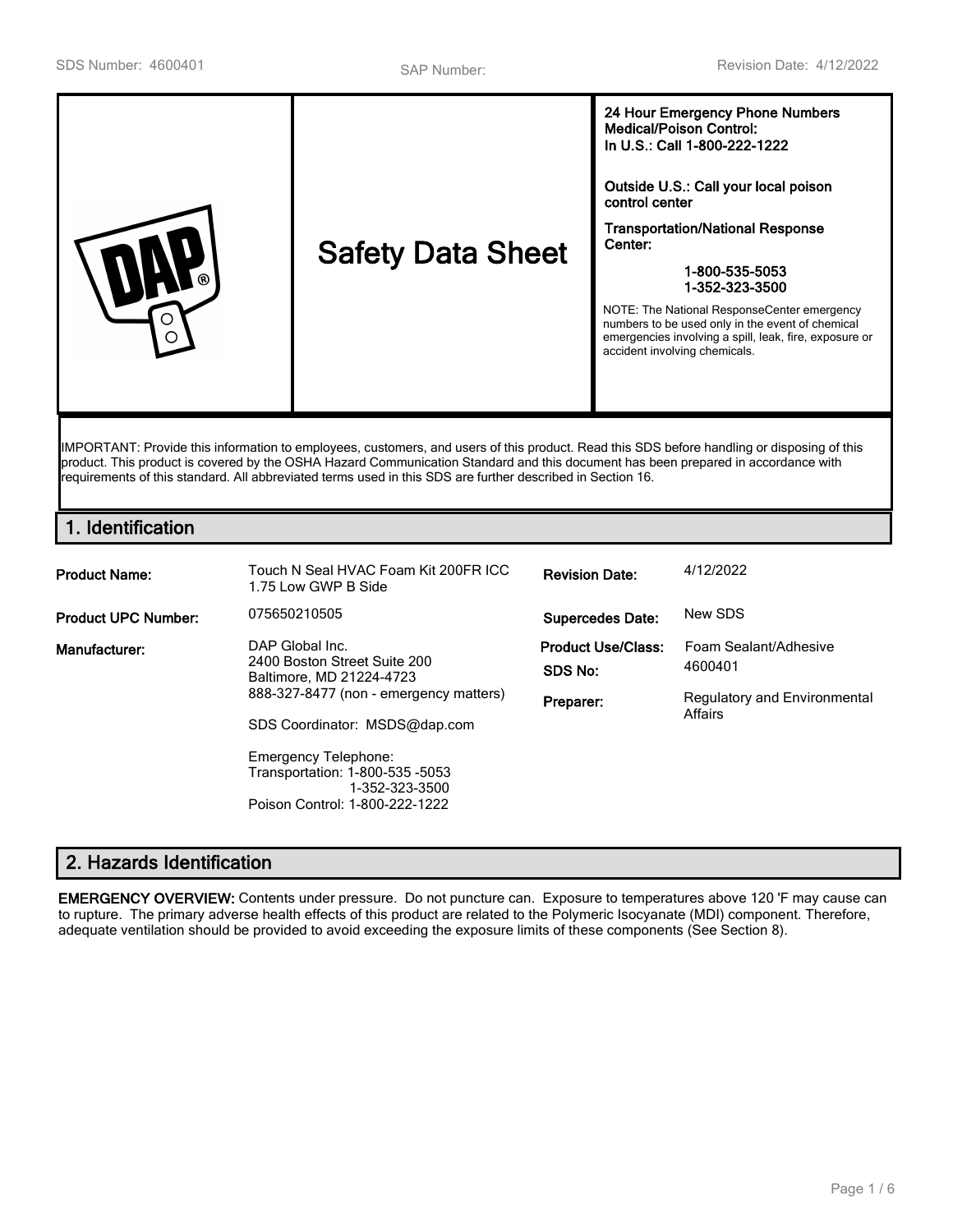| <b>Safety Data Sheet</b><br>ര<br>∩ | <b>Medical/Poison Control:</b><br>In U.S.: Call 1-800-222-1222<br>Outside U.S.: Call your local poison<br>control center<br><b>Transportation/National Response</b><br>Center:<br>1-800-535-5053<br>1-352-323-3500<br>NOTE: The National ResponseCenter emergency<br>numbers to be used only in the event of chemical<br>emergencies involving a spill, leak, fire, exposure or<br>accident involving chemicals. |
|------------------------------------|------------------------------------------------------------------------------------------------------------------------------------------------------------------------------------------------------------------------------------------------------------------------------------------------------------------------------------------------------------------------------------------------------------------|
|------------------------------------|------------------------------------------------------------------------------------------------------------------------------------------------------------------------------------------------------------------------------------------------------------------------------------------------------------------------------------------------------------------------------------------------------------------|

IMPORTANT: Provide this information to employees, customers, and users of this product. Read this SDS before handling or disposing of this product. This product is covered by the OSHA Hazard Communication Standard and this document has been prepared in accordance with requirements of this standard. All abbreviated terms used in this SDS are further described in Section 16.

# **1. Identification**

| <b>Product Name:</b>       | Touch N Seal HVAC Foam Kit 200FR ICC<br>1.75 Low GWP B Side                                                                                                                                                                                                                  | <b>Revision Date:</b>                             | 4/12/2022                                                                   |
|----------------------------|------------------------------------------------------------------------------------------------------------------------------------------------------------------------------------------------------------------------------------------------------------------------------|---------------------------------------------------|-----------------------------------------------------------------------------|
| <b>Product UPC Number:</b> | 075650210505                                                                                                                                                                                                                                                                 | <b>Supercedes Date:</b>                           | New SDS                                                                     |
| Manufacturer:              | DAP Global Inc.<br>2400 Boston Street Suite 200<br>Baltimore, MD 21224-4723<br>888-327-8477 (non - emergency matters)<br>SDS Coordinator: MSDS@dap.com<br><b>Emergency Telephone:</b><br>Transportation: 1-800-535 -5053<br>1-352-323-3500<br>Poison Control: 1-800-222-1222 | <b>Product Use/Class:</b><br>SDS No:<br>Preparer: | Foam Sealant/Adhesive<br>4600401<br>Regulatory and Environmental<br>Affairs |

# **2. Hazards Identification**

**EMERGENCY OVERVIEW:** Contents under pressure. Do not puncture can. Exposure to temperatures above 120 'F may cause can to rupture. The primary adverse health effects of this product are related to the Polymeric Isocyanate (MDI) component. Therefore, adequate ventilation should be provided to avoid exceeding the exposure limits of these components (See Section 8).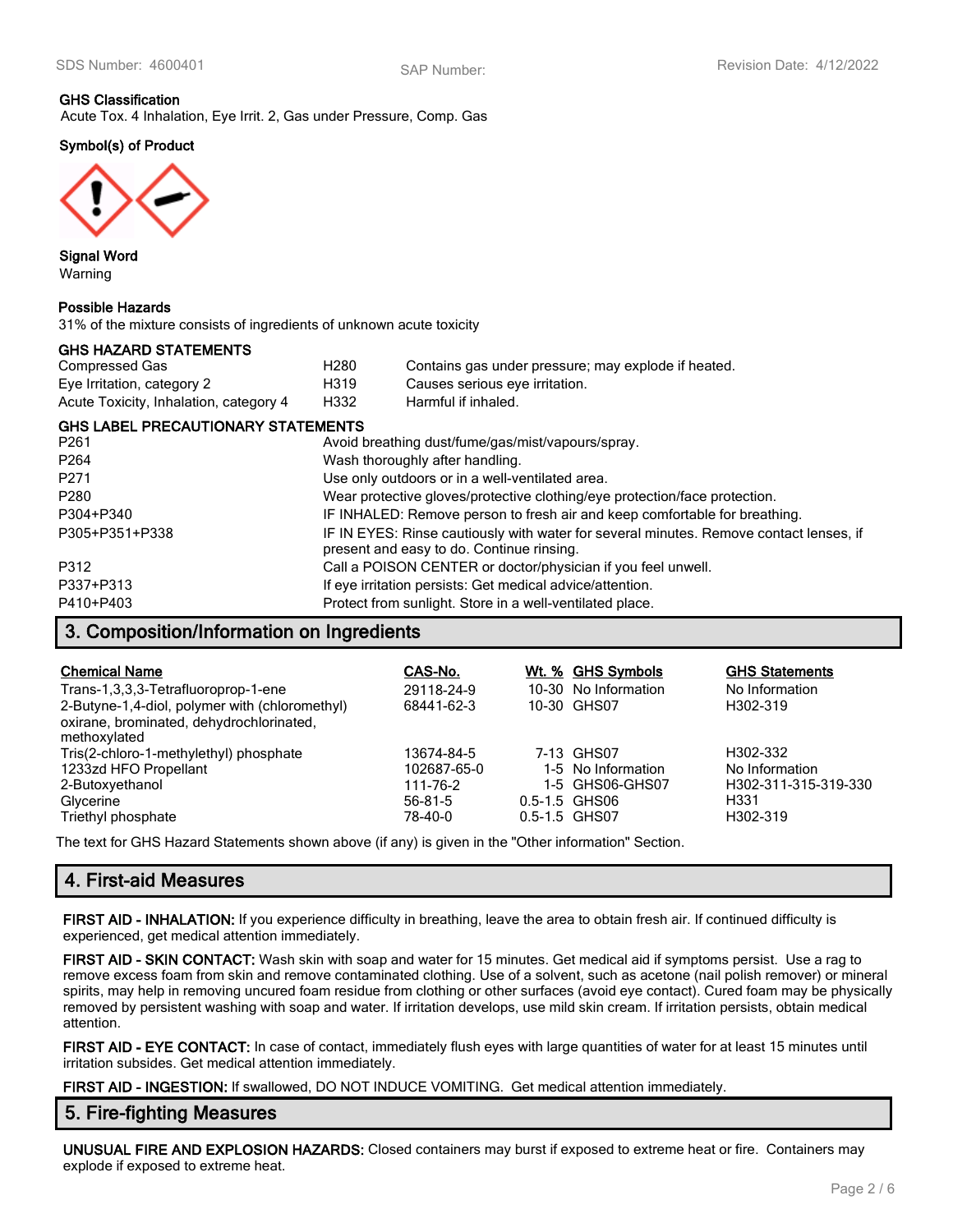# **GHS Classification**

Acute Tox. 4 Inhalation, Eye Irrit. 2, Gas under Pressure, Comp. Gas

### **Symbol(s) of Product**



**Signal Word** Warning

#### **Possible Hazards**

31% of the mixture consists of ingredients of unknown acute toxicity

### **GHS HAZARD STATEMENTS**

| Compressed Gas                         | H280 | Contains gas under pressure; may explode if heated. |
|----------------------------------------|------|-----------------------------------------------------|
| Eye Irritation, category 2             | H319 | Causes serious eye irritation.                      |
| Acute Toxicity, Inhalation, category 4 | H332 | Harmful if inhaled.                                 |

#### **GHS LABEL PRECAUTIONARY STATEMENTS**

| P <sub>261</sub> | Avoid breathing dust/fume/gas/mist/vapours/spray.                                                                                   |
|------------------|-------------------------------------------------------------------------------------------------------------------------------------|
| P <sub>264</sub> | Wash thoroughly after handling.                                                                                                     |
| P271             | Use only outdoors or in a well-ventilated area.                                                                                     |
| P280             | Wear protective gloves/protective clothing/eye protection/face protection.                                                          |
| P304+P340        | IF INHALED: Remove person to fresh air and keep comfortable for breathing.                                                          |
| P305+P351+P338   | IF IN EYES: Rinse cautiously with water for several minutes. Remove contact lenses, if<br>present and easy to do. Continue rinsing. |
| P312             | Call a POISON CENTER or doctor/physician if you feel unwell.                                                                        |
| P337+P313        | If eye irritation persists: Get medical advice/attention.                                                                           |
| P410+P403        | Protect from sunlight. Store in a well-ventilated place.                                                                            |

### **3. Composition/Information on Ingredients**

| <b>Chemical Name</b>                           | CAS-No.       | Wt. % GHS Symbols    | <b>GHS Statements</b> |
|------------------------------------------------|---------------|----------------------|-----------------------|
| Trans-1,3,3,3-Tetrafluoroprop-1-ene            | 29118-24-9    | 10-30 No Information | No Information        |
| 2-Butyne-1,4-diol, polymer with (chloromethyl) | 68441-62-3    | 10-30 GHS07          | H302-319              |
| oxirane, brominated, dehydrochlorinated,       |               |                      |                       |
| methoxylated                                   |               |                      |                       |
| Tris(2-chloro-1-methylethyl) phosphate         | 13674-84-5    | 7-13 GHS07           | H302-332              |
| 1233zd HFO Propellant                          | 102687-65-0   | 1-5 No Information   | No Information        |
| 2-Butoxyethanol                                | 111-76-2      | 1-5 GHS06-GHS07      | H302-311-315-319-330  |
| Glycerine                                      | $56 - 81 - 5$ | 0.5-1.5 GHS06        | H331                  |
| Triethyl phosphate                             | 78-40-0       | 0.5-1.5 GHS07        | H302-319              |

The text for GHS Hazard Statements shown above (if any) is given in the "Other information" Section.

# **4. First-aid Measures**

**FIRST AID - INHALATION:** If you experience difficulty in breathing, leave the area to obtain fresh air. If continued difficulty is experienced, get medical attention immediately.

**FIRST AID - SKIN CONTACT:** Wash skin with soap and water for 15 minutes. Get medical aid if symptoms persist. Use a rag to remove excess foam from skin and remove contaminated clothing. Use of a solvent, such as acetone (nail polish remover) or mineral spirits, may help in removing uncured foam residue from clothing or other surfaces (avoid eye contact). Cured foam may be physically removed by persistent washing with soap and water. If irritation develops, use mild skin cream. If irritation persists, obtain medical attention.

**FIRST AID - EYE CONTACT:** In case of contact, immediately flush eyes with large quantities of water for at least 15 minutes until irritation subsides. Get medical attention immediately.

**FIRST AID - INGESTION:** If swallowed, DO NOT INDUCE VOMITING. Get medical attention immediately.

### **5. Fire-fighting Measures**

**UNUSUAL FIRE AND EXPLOSION HAZARDS:** Closed containers may burst if exposed to extreme heat or fire. Containers may explode if exposed to extreme heat.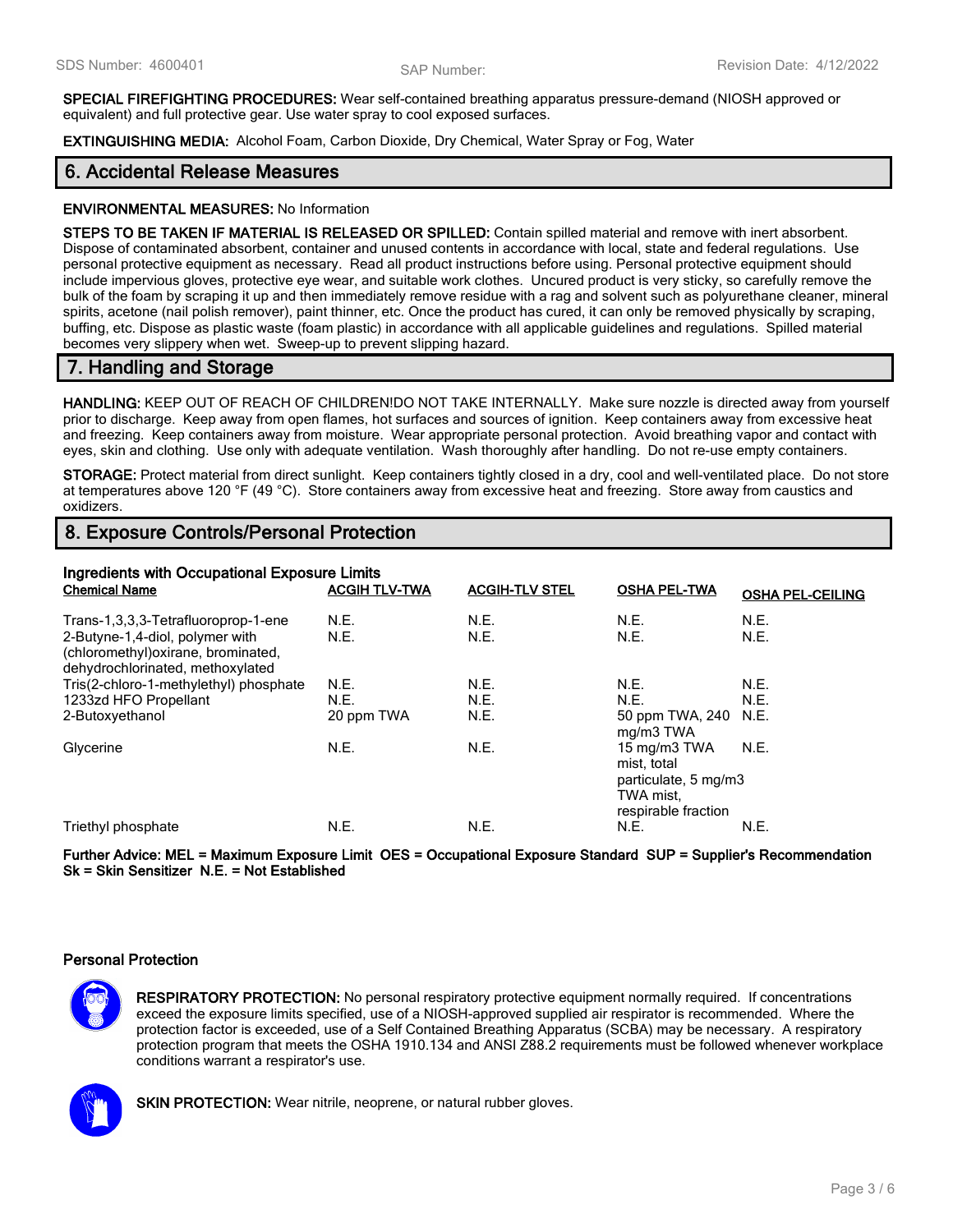**SPECIAL FIREFIGHTING PROCEDURES:** Wear self-contained breathing apparatus pressure-demand (NIOSH approved or equivalent) and full protective gear. Use water spray to cool exposed surfaces.

**EXTINGUISHING MEDIA:** Alcohol Foam, Carbon Dioxide, Dry Chemical, Water Spray or Fog, Water

# **6. Accidental Release Measures**

#### **ENVIRONMENTAL MEASURES:** No Information

**STEPS TO BE TAKEN IF MATERIAL IS RELEASED OR SPILLED:** Contain spilled material and remove with inert absorbent. Dispose of contaminated absorbent, container and unused contents in accordance with local, state and federal regulations. Use personal protective equipment as necessary. Read all product instructions before using. Personal protective equipment should include impervious gloves, protective eye wear, and suitable work clothes. Uncured product is very sticky, so carefully remove the bulk of the foam by scraping it up and then immediately remove residue with a rag and solvent such as polyurethane cleaner, mineral spirits, acetone (nail polish remover), paint thinner, etc. Once the product has cured, it can only be removed physically by scraping, buffing, etc. Dispose as plastic waste (foam plastic) in accordance with all applicable guidelines and regulations. Spilled material becomes very slippery when wet. Sweep-up to prevent slipping hazard.

# **7. Handling and Storage**

**HANDLING:** KEEP OUT OF REACH OF CHILDREN!DO NOT TAKE INTERNALLY. Make sure nozzle is directed away from yourself prior to discharge. Keep away from open flames, hot surfaces and sources of ignition. Keep containers away from excessive heat and freezing. Keep containers away from moisture. Wear appropriate personal protection. Avoid breathing vapor and contact with eyes, skin and clothing. Use only with adequate ventilation. Wash thoroughly after handling. Do not re-use empty containers.

**STORAGE:** Protect material from direct sunlight. Keep containers tightly closed in a dry, cool and well-ventilated place. Do not store at temperatures above 120 °F (49 °C). Store containers away from excessive heat and freezing. Store away from caustics and oxidizers.

# **8. Exposure Controls/Personal Protection**

| Ingredients with Occupational Exposure Limits<br><b>Chemical Name</b><br><b>ACGIH TLV-TWA</b><br><b>ACGIH-TLV STEL</b><br><b>OSHA PEL-TWA</b><br><b>OSHA PEL-CEILING</b> |              |              |                                                                                         |              |
|--------------------------------------------------------------------------------------------------------------------------------------------------------------------------|--------------|--------------|-----------------------------------------------------------------------------------------|--------------|
| Trans-1,3,3,3-Tetrafluoroprop-1-ene<br>2-Butyne-1,4-diol, polymer with<br>(chloromethyl) oxirane, brominated,<br>dehydrochlorinated, methoxylated                        | N.E.<br>N.E. | N.E.<br>N.E. | N.E.<br>N.E.                                                                            | N.E.<br>N.E. |
| Tris(2-chloro-1-methylethyl) phosphate                                                                                                                                   | N.E.         | N.E.         | N.E.                                                                                    | N.E.         |
| 1233zd HFO Propellant                                                                                                                                                    | N.E.         | N.E.         | N.E.                                                                                    | N.E.         |
| 2-Butoxyethanol                                                                                                                                                          | 20 ppm TWA   | N.E.         | 50 ppm TWA, 240 N.E.<br>mg/m3 TWA                                                       |              |
| Glycerine                                                                                                                                                                | N.E.         | N.E.         | 15 mg/m3 TWA<br>mist, total<br>particulate, 5 mg/m3<br>TWA mist.<br>respirable fraction | N.E.         |
| Triethyl phosphate                                                                                                                                                       | N.E.         | N.E.         | N.E.                                                                                    | N.E.         |

**Further Advice: MEL = Maximum Exposure Limit OES = Occupational Exposure Standard SUP = Supplier's Recommendation Sk = Skin Sensitizer N.E. = Not Established**

### **Personal Protection**

**RESPIRATORY PROTECTION:** No personal respiratory protective equipment normally required. If concentrations exceed the exposure limits specified, use of a NIOSH-approved supplied air respirator is recommended. Where the protection factor is exceeded, use of a Self Contained Breathing Apparatus (SCBA) may be necessary. A respiratory protection program that meets the OSHA 1910.134 and ANSI Z88.2 requirements must be followed whenever workplace conditions warrant a respirator's use.



**SKIN PROTECTION:** Wear nitrile, neoprene, or natural rubber gloves.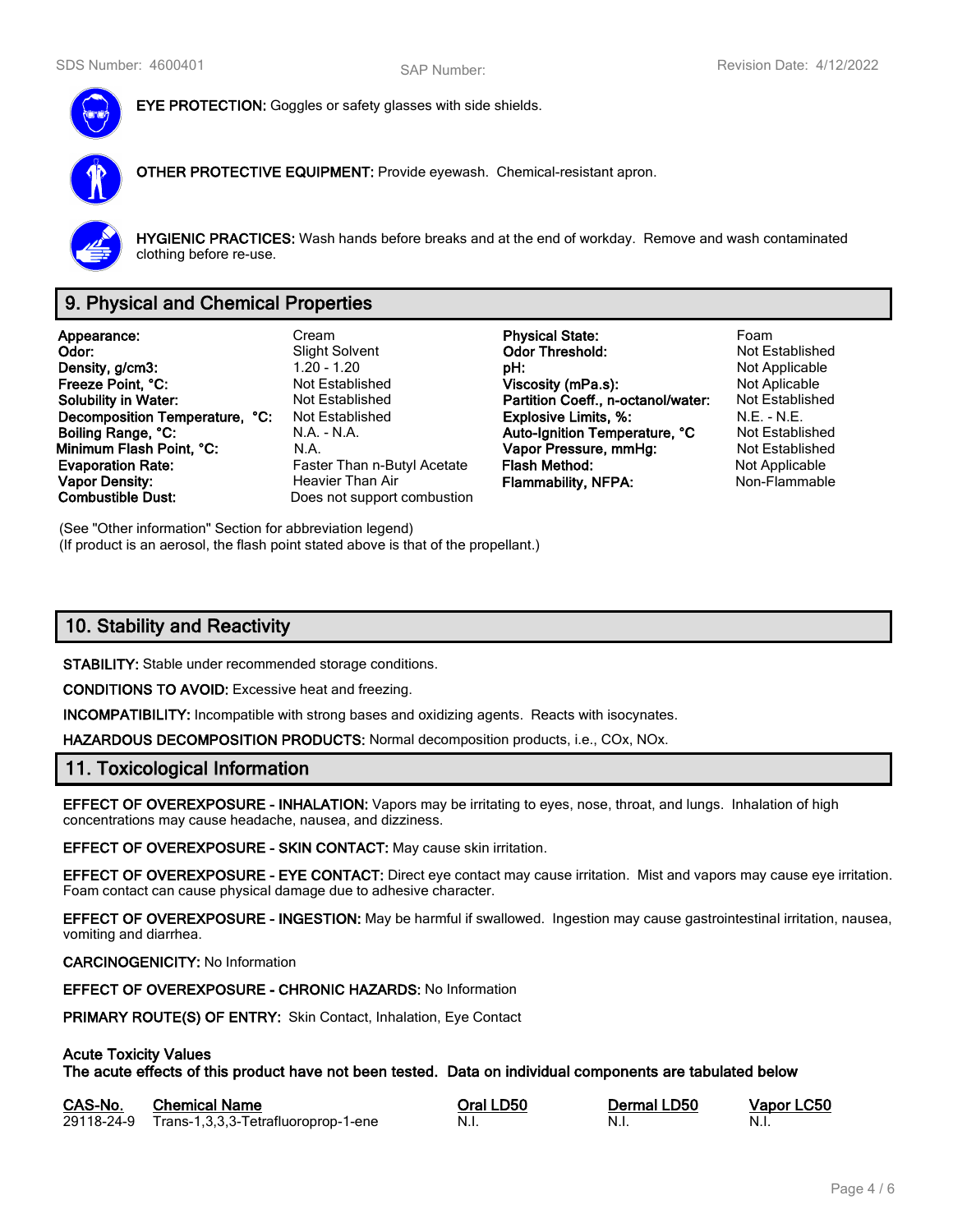

**EYE PROTECTION:** Goggles or safety glasses with side shields.

**OTHER PROTECTIVE EQUIPMENT:** Provide eyewash. Chemical-resistant apron.



**HYGIENIC PRACTICES:** Wash hands before breaks and at the end of workday. Remove and wash contaminated clothing before re-use.

# **9. Physical and Chemical Properties**

**Appearance:** Cream **Physical State:** Foam **Density, g/cm3:** 1.20 - 1.20 - 1.20 **pH: pH: pH:** Not Applicable proposity of the Section Pressure of Applicable pressure of the Not Applicable pressure of Not Applicable pressure of Not Applicable pressure of Not App **Freeze Point, °C: Not Established Viscosity (mPa.s):** Not Aplicable **Not Aplicable Solubility in Water:** Not Established **Partition Coeff., n-octanol/water:** Not Established **Decomposition Temperature, °C:** Not Established **Explosive Limits, %:** N.E. - N.E. - N.E. **Boiling Range, °C:** N.A. - N.A. - N.A. **Auto-Ignition Temperature, °C** Not Established **Minimum Flash Point, °C:** N.A. **Vapor Pressure, mmHg:** Not Established **Evaporation Rate:** Faster Than n-Butyl Acetate **Flash Method:** Not Applicable **Not Applicable Vapor Density: Heavier Than Air Flammability, NFPA:** Non-Flammable **Combustible Dust:** Does not support combustion

**Slight Solvent Codor Threshold:**<br>1.20 - 1.20 **DH:** Does not support combustion

(See "Other information" Section for abbreviation legend) (If product is an aerosol, the flash point stated above is that of the propellant.)

# **10. Stability and Reactivity**

**STABILITY:** Stable under recommended storage conditions.

**CONDITIONS TO AVOID:** Excessive heat and freezing.

**INCOMPATIBILITY:** Incompatible with strong bases and oxidizing agents. Reacts with isocynates.

**HAZARDOUS DECOMPOSITION PRODUCTS:** Normal decomposition products, i.e., COx, NOx.

### **11. Toxicological Information**

**EFFECT OF OVEREXPOSURE - INHALATION:** Vapors may be irritating to eyes, nose, throat, and lungs. Inhalation of high concentrations may cause headache, nausea, and dizziness.

**EFFECT OF OVEREXPOSURE - SKIN CONTACT:** May cause skin irritation.

**EFFECT OF OVEREXPOSURE - EYE CONTACT:** Direct eye contact may cause irritation. Mist and vapors may cause eye irritation. Foam contact can cause physical damage due to adhesive character.

**EFFECT OF OVEREXPOSURE - INGESTION:** May be harmful if swallowed. Ingestion may cause gastrointestinal irritation, nausea, vomiting and diarrhea.

#### **CARCINOGENICITY:** No Information

**EFFECT OF OVEREXPOSURE - CHRONIC HAZARDS:** No Information

**PRIMARY ROUTE(S) OF ENTRY:** Skin Contact, Inhalation, Eye Contact

### **Acute Toxicity Values**

**The acute effects of this product have not been tested. Data on individual components are tabulated below**

| CAS-No. | <b>Chemical Name</b>                           | Oral LD50 | Dermal LD50 | Vapor LC50 |
|---------|------------------------------------------------|-----------|-------------|------------|
|         | 29118-24-9 Trans-1,3,3,3-Tetrafluoroprop-1-ene | - N.i.    | -N.I.       | - N.i.     |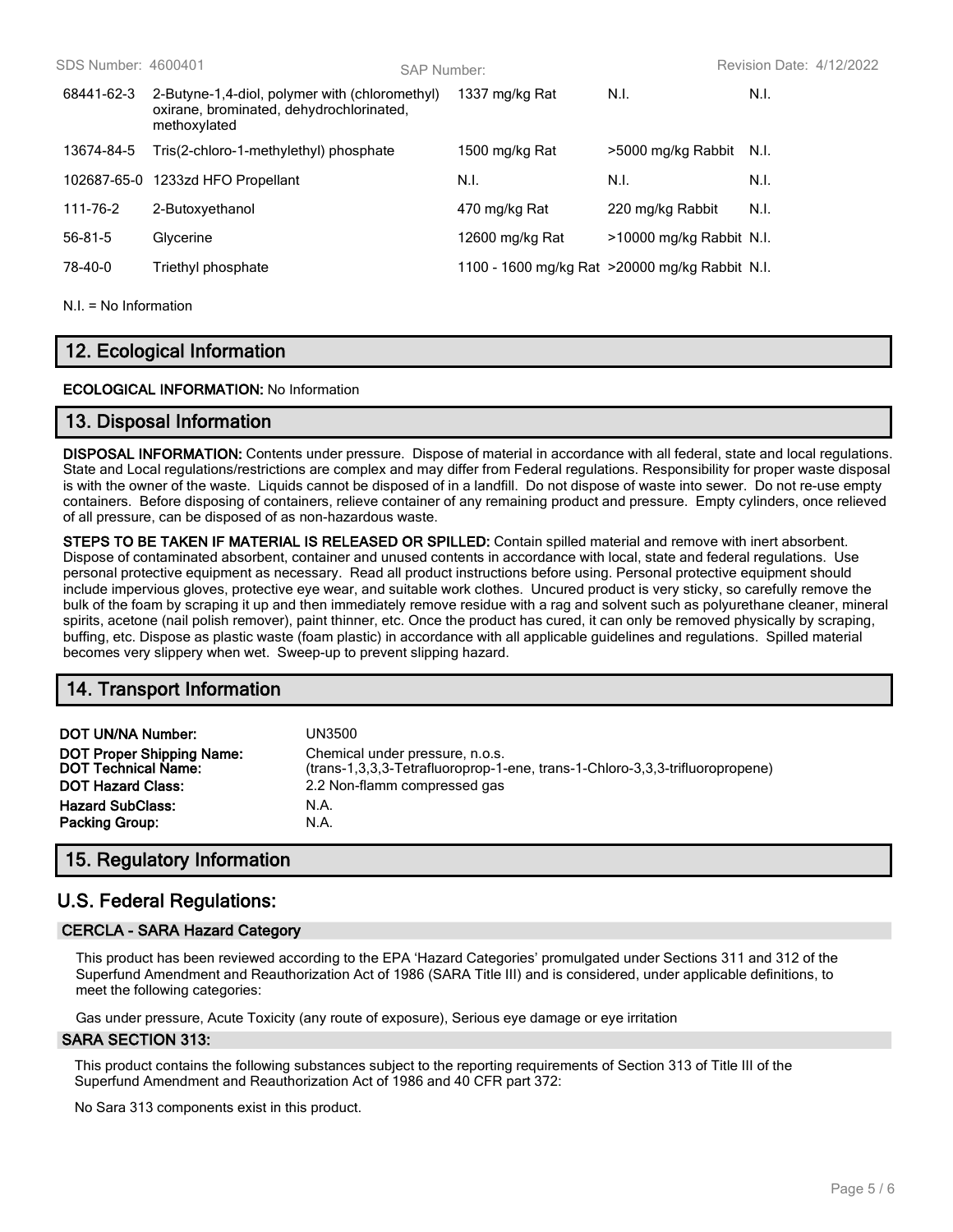| SDS Number: 4600401 |                                                                                                            | SAP Number: |                                                 |                          | Revision Date: 4/12/2022 |
|---------------------|------------------------------------------------------------------------------------------------------------|-------------|-------------------------------------------------|--------------------------|--------------------------|
| 68441-62-3          | 2-Butyne-1,4-diol, polymer with (chloromethyl)<br>oxirane, brominated, dehydrochlorinated,<br>methoxylated |             | 1337 mg/kg Rat                                  | N.I.                     | N.I.                     |
| 13674-84-5          | Tris(2-chloro-1-methylethyl) phosphate                                                                     |             | 1500 mg/kg Rat                                  | >5000 mg/kg Rabbit       | - N.I.                   |
| 102687-65-0         | 1233zd HFO Propellant                                                                                      |             | N.I.                                            | N.I.                     | N.I.                     |
| 111-76-2            | 2-Butoxyethanol                                                                                            |             | 470 mg/kg Rat                                   | 220 mg/kg Rabbit         | N.I.                     |
| 56-81-5             | Glycerine                                                                                                  |             | 12600 mg/kg Rat                                 | >10000 mg/kg Rabbit N.I. |                          |
| 78-40-0             | Triethyl phosphate                                                                                         |             | 1100 - 1600 mg/kg Rat > 20000 mg/kg Rabbit N.I. |                          |                          |
|                     |                                                                                                            |             |                                                 |                          |                          |

 $NI = No$  Information

# **12. Ecological Information**

### **ECOLOGICAL INFORMATION:** No Information

### **13. Disposal Information**

**DISPOSAL INFORMATION:** Contents under pressure. Dispose of material in accordance with all federal, state and local regulations. State and Local regulations/restrictions are complex and may differ from Federal regulations. Responsibility for proper waste disposal is with the owner of the waste. Liquids cannot be disposed of in a landfill. Do not dispose of waste into sewer. Do not re-use empty containers. Before disposing of containers, relieve container of any remaining product and pressure. Empty cylinders, once relieved of all pressure, can be disposed of as non-hazardous waste.

**STEPS TO BE TAKEN IF MATERIAL IS RELEASED OR SPILLED:** Contain spilled material and remove with inert absorbent. Dispose of contaminated absorbent, container and unused contents in accordance with local, state and federal regulations. Use personal protective equipment as necessary. Read all product instructions before using. Personal protective equipment should include impervious gloves, protective eye wear, and suitable work clothes. Uncured product is very sticky, so carefully remove the bulk of the foam by scraping it up and then immediately remove residue with a rag and solvent such as polyurethane cleaner, mineral spirits, acetone (nail polish remover), paint thinner, etc. Once the product has cured, it can only be removed physically by scraping, buffing, etc. Dispose as plastic waste (foam plastic) in accordance with all applicable guidelines and regulations. Spilled material becomes very slippery when wet. Sweep-up to prevent slipping hazard.

# **14. Transport Information**

| DOT UN/NA Number:<br><b>DOT Proper Shipping Name:</b><br><b>DOT Technical Name:</b><br><b>DOT Hazard Class:</b><br><b>Hazard SubClass:</b> | UN3500<br>Chemical under pressure, n.o.s.<br>(trans-1,3,3,3-Tetrafluoroprop-1-ene, trans-1-Chloro-3,3,3-trifluoropropene)<br>2.2 Non-flamm compressed gas<br>N.A. |
|--------------------------------------------------------------------------------------------------------------------------------------------|-------------------------------------------------------------------------------------------------------------------------------------------------------------------|
| <b>Packing Group:</b>                                                                                                                      | N.A.                                                                                                                                                              |
|                                                                                                                                            |                                                                                                                                                                   |

# **15. Regulatory Information**

# **U.S. Federal Regulations:**

### **CERCLA - SARA Hazard Category**

This product has been reviewed according to the EPA 'Hazard Categories' promulgated under Sections 311 and 312 of the Superfund Amendment and Reauthorization Act of 1986 (SARA Title III) and is considered, under applicable definitions, to meet the following categories:

Gas under pressure, Acute Toxicity (any route of exposure), Serious eye damage or eye irritation

#### **SARA SECTION 313:**

This product contains the following substances subject to the reporting requirements of Section 313 of Title III of the Superfund Amendment and Reauthorization Act of 1986 and 40 CFR part 372:

No Sara 313 components exist in this product.